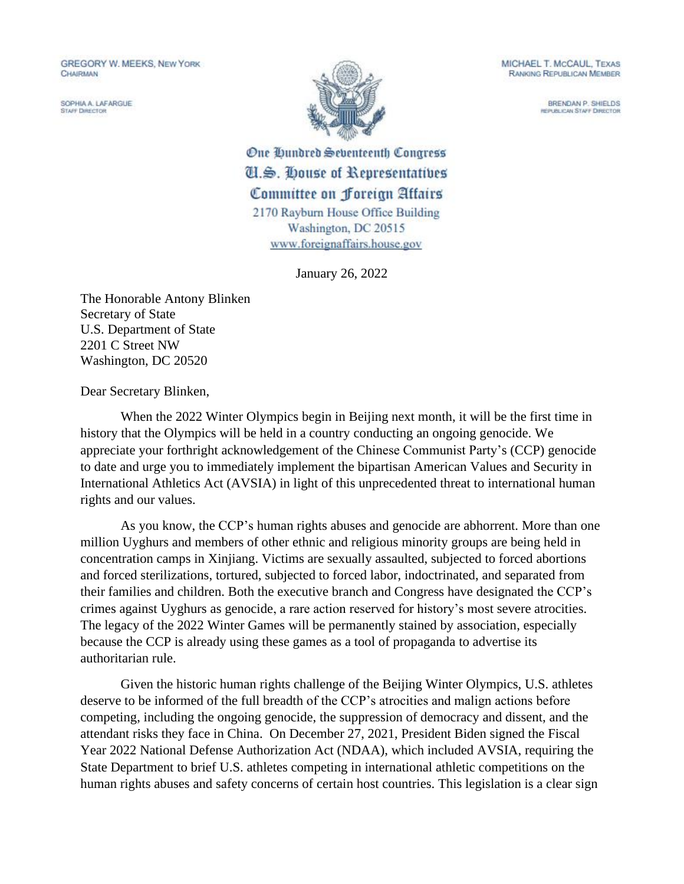**GREGORY W. MEEKS, NEW YORK** CHAIRMAN

SOPHIA A. LAFARGUE **STAFF DIRECTOR** 



MICHAEL T. MCCAUL, TEXAS **RANKING REPUBLICAN MEMBER** 

> BRENDAN P. SHIELDS *REPUBLICAN STAFF DIRECTOR*

One Qundred Seventeenth Congress U.S. House of Representatives Committee on Foreign Attairs 2170 Rayburn House Office Building Washington, DC 20515 www.foreignaffairs.house.gov

January 26, 2022

The Honorable Antony Blinken Secretary of State U.S. Department of State 2201 C Street NW Washington, DC 20520

Dear Secretary Blinken,

When the 2022 Winter Olympics begin in Beijing next month, it will be the first time in history that the Olympics will be held in a country conducting an ongoing genocide. We appreciate your forthright acknowledgement of the Chinese Communist Party's (CCP) genocide to date and urge you to immediately implement the bipartisan American Values and Security in International Athletics Act (AVSIA) in light of this unprecedented threat to international human rights and our values.

As you know, the CCP's human rights abuses and genocide are abhorrent. More than one million Uyghurs and members of other ethnic and religious minority groups are being held in concentration camps in Xinjiang. Victims are sexually assaulted, subjected to forced abortions and forced sterilizations, tortured, subjected to forced labor, indoctrinated, and separated from their families and children. Both the executive branch and Congress have designated the CCP's crimes against Uyghurs as genocide, a rare action reserved for history's most severe atrocities. The legacy of the 2022 Winter Games will be permanently stained by association, especially because the CCP is already using these games as a tool of propaganda to advertise its authoritarian rule.

Given the historic human rights challenge of the Beijing Winter Olympics, U.S. athletes deserve to be informed of the full breadth of the CCP's atrocities and malign actions before competing, including the ongoing genocide, the suppression of democracy and dissent, and the attendant risks they face in China. On December 27, 2021, President Biden signed the Fiscal Year 2022 National Defense Authorization Act (NDAA), which included AVSIA, requiring the State Department to brief U.S. athletes competing in international athletic competitions on the human rights abuses and safety concerns of certain host countries. This legislation is a clear sign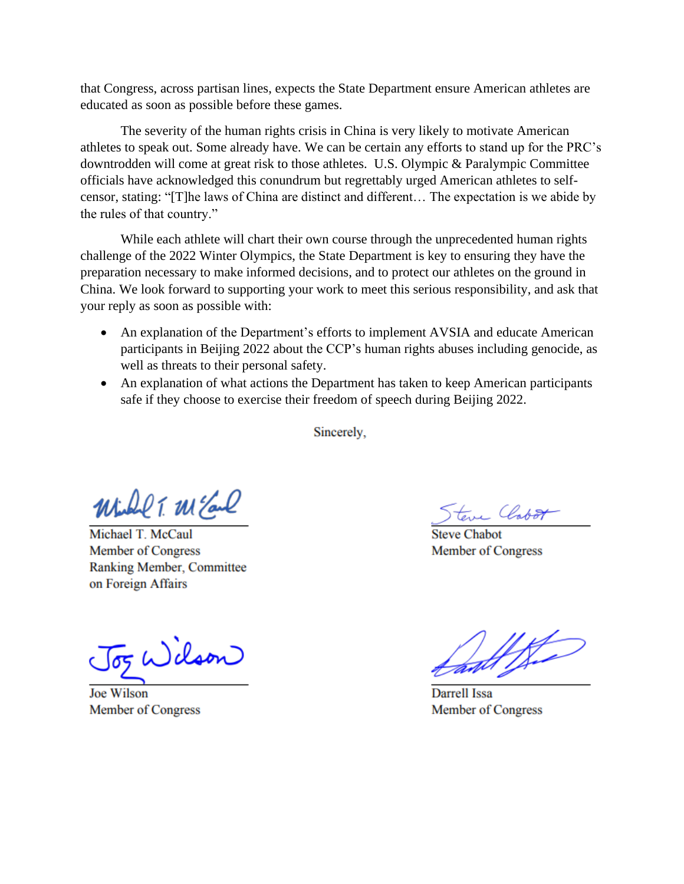that Congress, across partisan lines, expects the State Department ensure American athletes are educated as soon as possible before these games.

The severity of the human rights crisis in China is very likely to motivate American athletes to speak out. Some already have. We can be certain any efforts to stand up for the PRC's downtrodden will come at great risk to those athletes. U.S. Olympic & Paralympic Committee officials have acknowledged this conundrum but regrettably urged American athletes to selfcensor, stating: "[T]he laws of China are distinct and different… The expectation is we abide by the rules of that country."

While each athlete will chart their own course through the unprecedented human rights challenge of the 2022 Winter Olympics, the State Department is key to ensuring they have the preparation necessary to make informed decisions, and to protect our athletes on the ground in China. We look forward to supporting your work to meet this serious responsibility, and ask that your reply as soon as possible with:

- An explanation of the Department's efforts to implement AVSIA and educate American participants in Beijing 2022 about the CCP's human rights abuses including genocide, as well as threats to their personal safety.
- An explanation of what actions the Department has taken to keep American participants safe if they choose to exercise their freedom of speech during Beijing 2022.

Sincerely,

Winder T. W Earl

Michael T. McCaul **Member of Congress** Ranking Member, Committee on Foreign Affairs

dson

**Joe Wilson Member of Congress** 

Steve Clobot

**Member of Congress** 

Darrell Issa Member of Congress